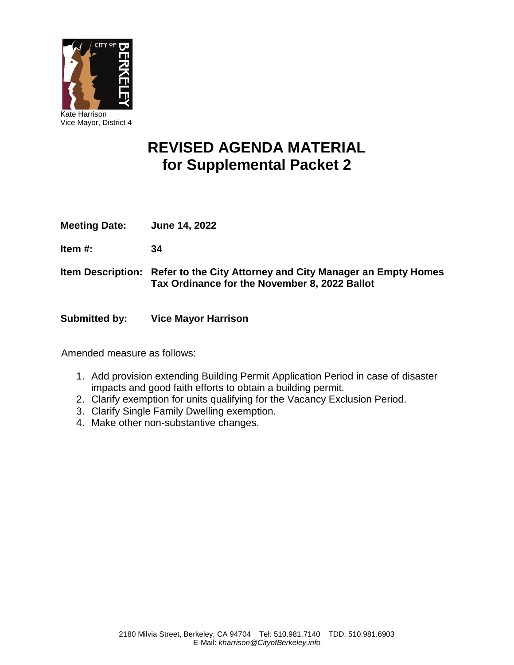

# **REVISED AGENDA MATERIAL for Supplemental Packet 2**

- **Meeting Date: June 14, 2022**
- **Item #: 34**
- **Item Description: Refer to the City Attorney and City Manager an Empty Homes Tax Ordinance for the November 8, 2022 Ballot**
- **Submitted by: Vice Mayor Harrison**

Amended measure as follows:

- 1. Add provision extending Building Permit Application Period in case of disaster impacts and good faith efforts to obtain a building permit.
- 2. Clarify exemption for units qualifying for the Vacancy Exclusion Period.
- 3. Clarify Single Family Dwelling exemption.
- 4. Make other non-substantive changes.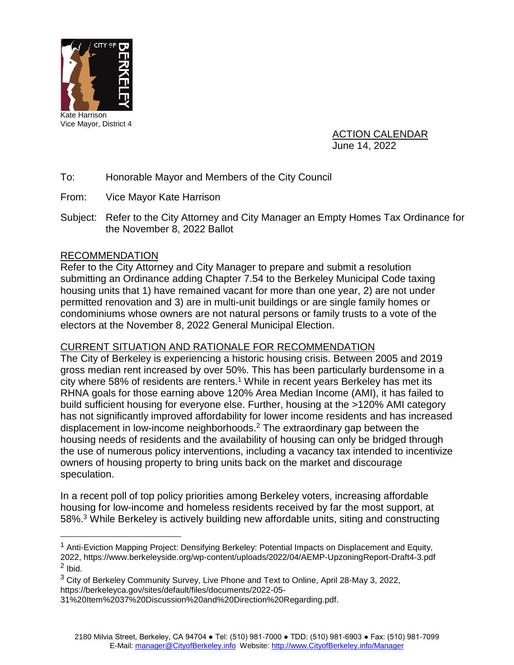

ACTION CALENDAR June 14, 2022

# To: Honorable Mayor and Members of the City Council

- From: Vice Mayor Kate Harrison
- Subject: Refer to the City Attorney and City Manager an Empty Homes Tax Ordinance for the November 8, 2022 Ballot

### RECOMMENDATION

 $\overline{a}$ 

Refer to the City Attorney and City Manager to prepare and submit a resolution submitting an Ordinance adding Chapter 7.54 to the Berkeley Municipal Code taxing housing units that 1) have remained vacant for more than one year, 2) are not under permitted renovation and 3) are in multi-unit buildings or are single family homes or condominiums whose owners are not natural persons or family trusts to a vote of the electors at the November 8, 2022 General Municipal Election.

# CURRENT SITUATION AND RATIONALE FOR RECOMMENDATION

The City of Berkeley is experiencing a historic housing crisis. Between 2005 and 2019 gross median rent increased by over 50%. This has been particularly burdensome in a city where 58% of residents are renters.<sup>1</sup> While in recent years Berkeley has met its RHNA goals for those earning above 120% Area Median Income (AMI), it has failed to build sufficient housing for everyone else. Further, housing at the >120% AMI category has not significantly improved affordability for lower income residents and has increased displacement in low-income neighborhoods.<sup>2</sup> The extraordinary gap between the housing needs of residents and the availability of housing can only be bridged through the use of numerous policy interventions, including a vacancy tax intended to incentivize owners of housing property to bring units back on the market and discourage speculation.

In a recent poll of top policy priorities among Berkeley voters, increasing affordable housing for low-income and homeless residents received by far the most support, at 58%.<sup>3</sup> While Berkeley is actively building new affordable units, siting and constructing

<sup>&</sup>lt;sup>1</sup> Anti-Eviction Mapping Project: Densifying Berkeley: Potential Impacts on Displacement and Equity, 2022, https://www.berkeleyside.org/wp-content/uploads/2022/04/AEMP-UpzoningReport-Draft4-3.pdf 2 Ibid.

<sup>3</sup> City of Berkeley Community Survey, Live Phone and Text to Online, April 28-May 3, 2022, https://berkeleyca.gov/sites/default/files/documents/2022-05-

<sup>31%20</sup>Item%2037%20Discussion%20and%20Direction%20Regarding.pdf.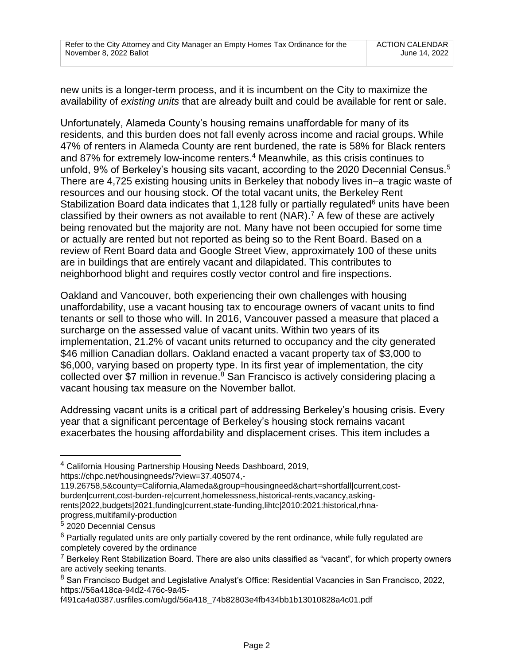new units is a longer-term process, and it is incumbent on the City to maximize the availability of *existing units* that are already built and could be available for rent or sale.

Unfortunately, Alameda County's housing remains unaffordable for many of its residents, and this burden does not fall evenly across income and racial groups. While 47% of renters in Alameda County are rent burdened, the rate is 58% for Black renters and 87% for extremely low-income renters.<sup>4</sup> Meanwhile, as this crisis continues to unfold, 9% of Berkeley's housing sits vacant, according to the 2020 Decennial Census.<sup>5</sup> There are 4,725 existing housing units in Berkeley that nobody lives in–a tragic waste of resources and our housing stock. Of the total vacant units, the Berkeley Rent Stabilization Board data indicates that 1,128 fully or partially regulated<sup>6</sup> units have been classified by their owners as not available to rent  $(NAR)$ .<sup>7</sup> A few of these are actively being renovated but the majority are not. Many have not been occupied for some time or actually are rented but not reported as being so to the Rent Board. Based on a review of Rent Board data and Google Street View, approximately 100 of these units are in buildings that are entirely vacant and dilapidated. This contributes to neighborhood blight and requires costly vector control and fire inspections.

Oakland and Vancouver, both experiencing their own challenges with housing unaffordability, use a vacant housing tax to encourage owners of vacant units to find tenants or sell to those who will. In 2016, Vancouver passed a measure that placed a surcharge on the assessed value of vacant units. Within two years of its implementation, 21.2% of vacant units returned to occupancy and the city generated \$46 million Canadian dollars. Oakland enacted a vacant property tax of \$3,000 to \$6,000, varying based on property type. In its first year of implementation, the city collected over \$7 million in revenue.<sup>8</sup> San Francisco is actively considering placing a vacant housing tax measure on the November ballot.

Addressing vacant units is a critical part of addressing Berkeley's housing crisis. Every year that a significant percentage of Berkeley's housing stock remains vacant exacerbates the housing affordability and displacement crises. This item includes a

119.26758,5&county=California,Alameda&group=housingneed&chart=shortfall|current,costburden|current,cost-burden-re|current,homelessness,historical-rents,vacancy,askingrents|2022,budgets|2021,funding|current,state-funding,lihtc|2010:2021:historical,rhnaprogress,multifamily-production

 $\overline{a}$ 

<sup>4</sup> California Housing Partnership Housing Needs Dashboard, 2019,

https://chpc.net/housingneeds/?view=37.405074,-

<sup>5</sup> 2020 Decennial Census

 $6$  Partially regulated units are only partially covered by the rent ordinance, while fully regulated are completely covered by the ordinance

 $7$  Berkeley Rent Stabilization Board. There are also units classified as "vacant", for which property owners are actively seeking tenants.

<sup>&</sup>lt;sup>8</sup> San Francisco Budget and Legislative Analyst's Office: Residential Vacancies in San Francisco, 2022, https://56a418ca-94d2-476c-9a45-

f491ca4a0387.usrfiles.com/ugd/56a418\_74b82803e4fb434bb1b13010828a4c01.pdf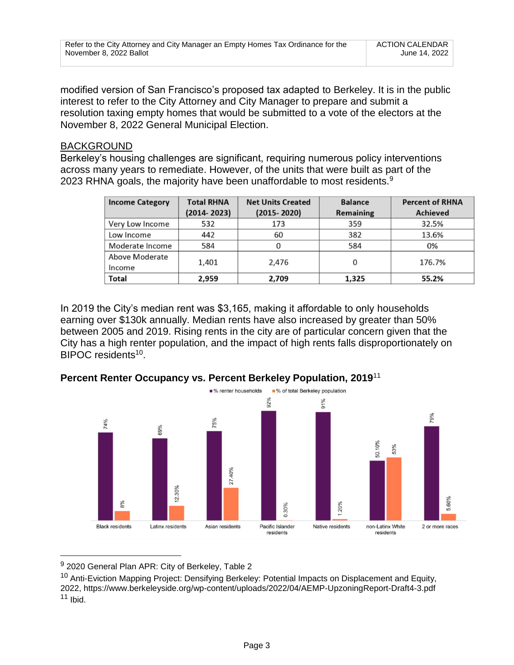modified version of San Francisco's proposed tax adapted to Berkeley. It is in the public interest to refer to the City Attorney and City Manager to prepare and submit a resolution taxing empty homes that would be submitted to a vote of the electors at the November 8, 2022 General Municipal Election.

### BACKGROUND

Berkeley's housing challenges are significant, requiring numerous policy interventions across many years to remediate. However, of the units that were built as part of the 2023 RHNA goals, the majority have been unaffordable to most residents.<sup>9</sup>

| <b>Income Category</b> | <b>Total RHNA</b><br>$(2014 - 2023)$ | <b>Net Units Created</b><br>$(2015 - 2020)$ | <b>Balance</b><br><b>Remaining</b> | <b>Percent of RHNA</b><br><b>Achieved</b> |
|------------------------|--------------------------------------|---------------------------------------------|------------------------------------|-------------------------------------------|
|                        |                                      |                                             |                                    |                                           |
| Very Low Income        | 532                                  | 173                                         | 359                                | 32.5%                                     |
| Low Income             | 442                                  | 60                                          | 382                                | 13.6%                                     |
| Moderate Income        | 584                                  |                                             | 584                                | 0%                                        |
| Above Moderate         | 1,401                                | 2,476                                       | 0                                  | 176.7%                                    |
| Income                 |                                      |                                             |                                    |                                           |
| <b>Total</b>           | 2,959                                | 2,709                                       | 1,325                              | 55.2%                                     |

In 2019 the City's median rent was \$3,165, making it affordable to only households earning over \$130k annually. Median rents have also increased by greater than 50% between 2005 and 2019. Rising rents in the city are of particular concern given that the City has a high renter population, and the impact of high rents falls disproportionately on BIPOC residents<sup>10</sup>.



# **Percent Renter Occupancy vs. Percent Berkeley Population, 2019**<sup>11</sup>

 $\overline{a}$ 

<sup>&</sup>lt;sup>9</sup> 2020 General Plan APR: City of Berkeley, Table 2

<sup>&</sup>lt;sup>10</sup> Anti-Eviction Mapping Project: Densifying Berkeley: Potential Impacts on Displacement and Equity, 2022, https://www.berkeleyside.org/wp-content/uploads/2022/04/AEMP-UpzoningReport-Draft4-3.pdf  $11$  Ibid.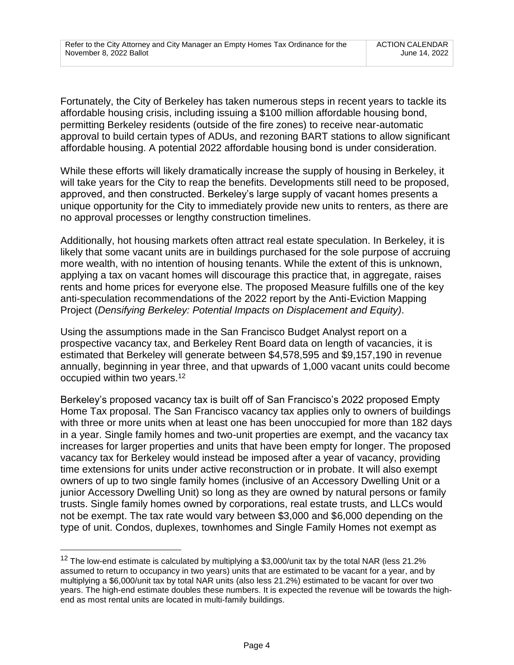Fortunately, the City of Berkeley has taken numerous steps in recent years to tackle its affordable housing crisis, including issuing a \$100 million affordable housing bond, permitting Berkeley residents (outside of the fire zones) to receive near-automatic approval to build certain types of ADUs, and rezoning BART stations to allow significant affordable housing. A potential 2022 affordable housing bond is under consideration.

While these efforts will likely dramatically increase the supply of housing in Berkeley, it will take years for the City to reap the benefits. Developments still need to be proposed, approved, and then constructed. Berkeley's large supply of vacant homes presents a unique opportunity for the City to immediately provide new units to renters, as there are no approval processes or lengthy construction timelines.

Additionally, hot housing markets often attract real estate speculation. In Berkeley, it is likely that some vacant units are in buildings purchased for the sole purpose of accruing more wealth, with no intention of housing tenants. While the extent of this is unknown, applying a tax on vacant homes will discourage this practice that, in aggregate, raises rents and home prices for everyone else. The proposed Measure fulfills one of the key anti-speculation recommendations of the 2022 report by the Anti-Eviction Mapping Project (*Densifying Berkeley: Potential Impacts on Displacement and Equity)*.

Using the assumptions made in the San Francisco Budget Analyst report on a prospective vacancy tax, and Berkeley Rent Board data on length of vacancies, it is estimated that Berkeley will generate between \$4,578,595 and \$9,157,190 in revenue annually, beginning in year three, and that upwards of 1,000 vacant units could become occupied within two years.<sup>12</sup>

Berkeley's proposed vacancy tax is built off of San Francisco's 2022 proposed Empty Home Tax proposal. The San Francisco vacancy tax applies only to owners of buildings with three or more units when at least one has been unoccupied for more than 182 days in a year. Single family homes and two-unit properties are exempt, and the vacancy tax increases for larger properties and units that have been empty for longer. The proposed vacancy tax for Berkeley would instead be imposed after a year of vacancy, providing time extensions for units under active reconstruction or in probate. It will also exempt owners of up to two single family homes (inclusive of an Accessory Dwelling Unit or a junior Accessory Dwelling Unit) so long as they are owned by natural persons or family trusts. Single family homes owned by corporations, real estate trusts, and LLCs would not be exempt. The tax rate would vary between \$3,000 and \$6,000 depending on the type of unit. Condos, duplexes, townhomes and Single Family Homes not exempt as

 $\overline{a}$ 

 $12$  The low-end estimate is calculated by multiplying a \$3,000/unit tax by the total NAR (less 21.2% assumed to return to occupancy in two years) units that are estimated to be vacant for a year, and by multiplying a \$6,000/unit tax by total NAR units (also less 21.2%) estimated to be vacant for over two years. The high-end estimate doubles these numbers. It is expected the revenue will be towards the highend as most rental units are located in multi-family buildings.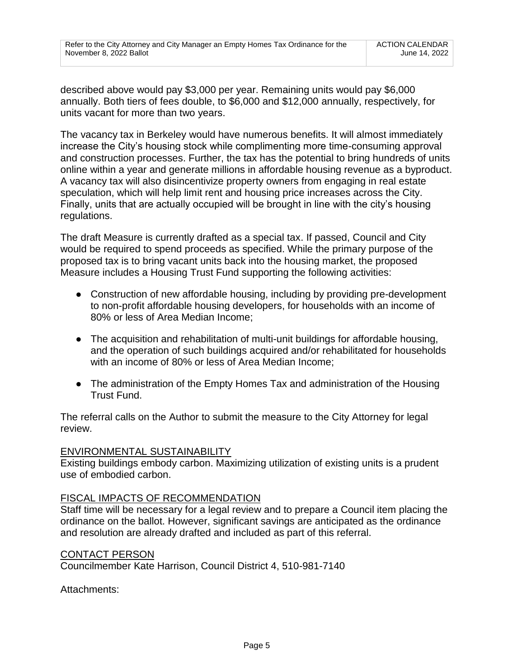described above would pay \$3,000 per year. Remaining units would pay \$6,000 annually. Both tiers of fees double, to \$6,000 and \$12,000 annually, respectively, for units vacant for more than two years.

The vacancy tax in Berkeley would have numerous benefits. It will almost immediately increase the City's housing stock while complimenting more time-consuming approval and construction processes. Further, the tax has the potential to bring hundreds of units online within a year and generate millions in affordable housing revenue as a byproduct. A vacancy tax will also disincentivize property owners from engaging in real estate speculation, which will help limit rent and housing price increases across the City. Finally, units that are actually occupied will be brought in line with the city's housing regulations.

The draft Measure is currently drafted as a special tax. If passed, Council and City would be required to spend proceeds as specified. While the primary purpose of the proposed tax is to bring vacant units back into the housing market, the proposed Measure includes a Housing Trust Fund supporting the following activities:

- Construction of new affordable housing, including by providing pre-development to non-profit affordable housing developers, for households with an income of 80% or less of Area Median Income;
- The acquisition and rehabilitation of multi-unit buildings for affordable housing, and the operation of such buildings acquired and/or rehabilitated for households with an income of 80% or less of Area Median Income;
- The administration of the Empty Homes Tax and administration of the Housing Trust Fund.

The referral calls on the Author to submit the measure to the City Attorney for legal review.

# ENVIRONMENTAL SUSTAINABILITY

Existing buildings embody carbon. Maximizing utilization of existing units is a prudent use of embodied carbon.

### FISCAL IMPACTS OF RECOMMENDATION

Staff time will be necessary for a legal review and to prepare a Council item placing the ordinance on the ballot. However, significant savings are anticipated as the ordinance and resolution are already drafted and included as part of this referral.

### CONTACT PERSON

Councilmember Kate Harrison, Council District 4, 510-981-7140

Attachments: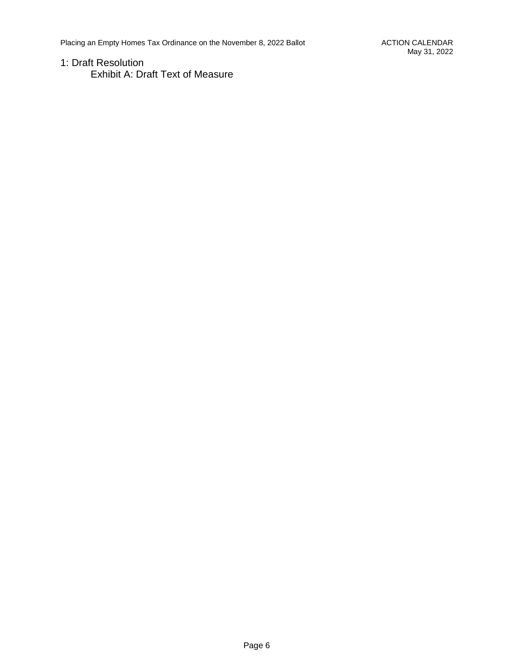1: Draft Resolution Exhibit A: Draft Text of Measure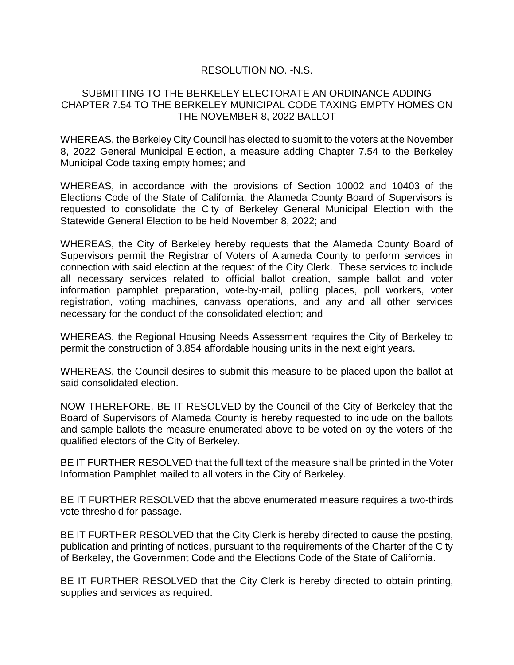# RESOLUTION NO. -N.S.

### SUBMITTING TO THE BERKELEY ELECTORATE AN ORDINANCE ADDING CHAPTER 7.54 TO THE BERKELEY MUNICIPAL CODE TAXING EMPTY HOMES ON THE NOVEMBER 8, 2022 BALLOT

WHEREAS, the Berkeley City Council has elected to submit to the voters at the November 8, 2022 General Municipal Election, a measure adding Chapter 7.54 to the Berkeley Municipal Code taxing empty homes; and

WHEREAS, in accordance with the provisions of Section 10002 and 10403 of the Elections Code of the State of California, the Alameda County Board of Supervisors is requested to consolidate the City of Berkeley General Municipal Election with the Statewide General Election to be held November 8, 2022; and

WHEREAS, the City of Berkeley hereby requests that the Alameda County Board of Supervisors permit the Registrar of Voters of Alameda County to perform services in connection with said election at the request of the City Clerk. These services to include all necessary services related to official ballot creation, sample ballot and voter information pamphlet preparation, vote-by-mail, polling places, poll workers, voter registration, voting machines, canvass operations, and any and all other services necessary for the conduct of the consolidated election; and

WHEREAS, the Regional Housing Needs Assessment requires the City of Berkeley to permit the construction of 3,854 affordable housing units in the next eight years.

WHEREAS, the Council desires to submit this measure to be placed upon the ballot at said consolidated election.

NOW THEREFORE, BE IT RESOLVED by the Council of the City of Berkeley that the Board of Supervisors of Alameda County is hereby requested to include on the ballots and sample ballots the measure enumerated above to be voted on by the voters of the qualified electors of the City of Berkeley.

BE IT FURTHER RESOLVED that the full text of the measure shall be printed in the Voter Information Pamphlet mailed to all voters in the City of Berkeley.

BE IT FURTHER RESOLVED that the above enumerated measure requires a two-thirds vote threshold for passage.

BE IT FURTHER RESOLVED that the City Clerk is hereby directed to cause the posting, publication and printing of notices, pursuant to the requirements of the Charter of the City of Berkeley, the Government Code and the Elections Code of the State of California.

BE IT FURTHER RESOLVED that the City Clerk is hereby directed to obtain printing, supplies and services as required.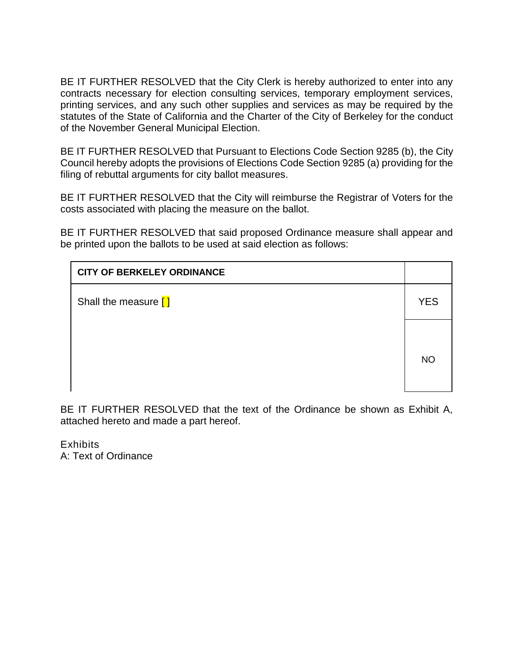BE IT FURTHER RESOLVED that the City Clerk is hereby authorized to enter into any contracts necessary for election consulting services, temporary employment services, printing services, and any such other supplies and services as may be required by the statutes of the State of California and the Charter of the City of Berkeley for the conduct of the November General Municipal Election.

BE IT FURTHER RESOLVED that Pursuant to Elections Code Section 9285 (b), the City Council hereby adopts the provisions of Elections Code Section 9285 (a) providing for the filing of rebuttal arguments for city ballot measures.

BE IT FURTHER RESOLVED that the City will reimburse the Registrar of Voters for the costs associated with placing the measure on the ballot.

BE IT FURTHER RESOLVED that said proposed Ordinance measure shall appear and be printed upon the ballots to be used at said election as follows:

| <b>CITY OF BERKELEY ORDINANCE</b> |            |  |
|-----------------------------------|------------|--|
| Shall the measure []              | <b>YES</b> |  |
|                                   | <b>NO</b>  |  |

BE IT FURTHER RESOLVED that the text of the Ordinance be shown as Exhibit A, attached hereto and made a part hereof.

**Exhibits** A: Text of Ordinance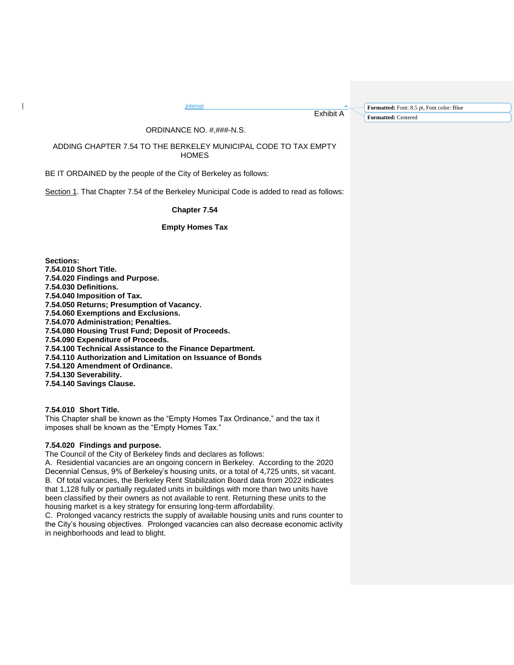Internal

Exhibit A

**Formatted:** Font: 8.5 pt, Font color: Blue

**Formatted:** Centered

### ORDINANCE NO. #,###-N.S.

#### ADDING CHAPTER 7.54 TO THE BERKELEY MUNICIPAL CODE TO TAX EMPTY **HOMES**

BE IT ORDAINED by the people of the City of Berkeley as follows:

Section 1. That Chapter 7.54 of the Berkeley Municipal Code is added to read as follows:

#### **Chapter 7.54**

#### **Empty Homes Tax**

**Sections:**

- **7.54.010 Short Title. 7.54.020 Findings and Purpose. 7.54.030 Definitions. 7.54.040 Imposition of Tax. 7.54.050 Returns; Presumption of Vacancy. 7.54.060 Exemptions and Exclusions. 7.54.070 Administration; Penalties. 7.54.080 Housing Trust Fund; Deposit of Proceeds. 7.54.090 Expenditure of Proceeds. 7.54.100 Technical Assistance to the Finance Department. 7.54.110 Authorization and Limitation on Issuance of Bonds 7.54.120 Amendment of Ordinance. 7.54.130 Severability.**
- **7.54.140 Savings Clause.**

#### **7.54.010 Short Title.**

This Chapter shall be known as the "Empty Homes Tax Ordinance," and the tax it imposes shall be known as the "Empty Homes Tax."

#### **7.54.020 Findings and purpose.**

The Council of the City of Berkeley finds and declares as follows:

A. Residential vacancies are an ongoing concern in Berkeley. According to the 2020 Decennial Census, 9% of Berkeley's housing units, or a total of 4,725 units, sit vacant. B. Of total vacancies, the Berkeley Rent Stabilization Board data from 2022 indicates that 1,128 fully or partially regulated units in buildings with more than two units have been classified by their owners as not available to rent. Returning these units to the housing market is a key strategy for ensuring long-term affordability.

C. Prolonged vacancy restricts the supply of available housing units and runs counter to the City's housing objectives. Prolonged vacancies can also decrease economic activity in neighborhoods and lead to blight.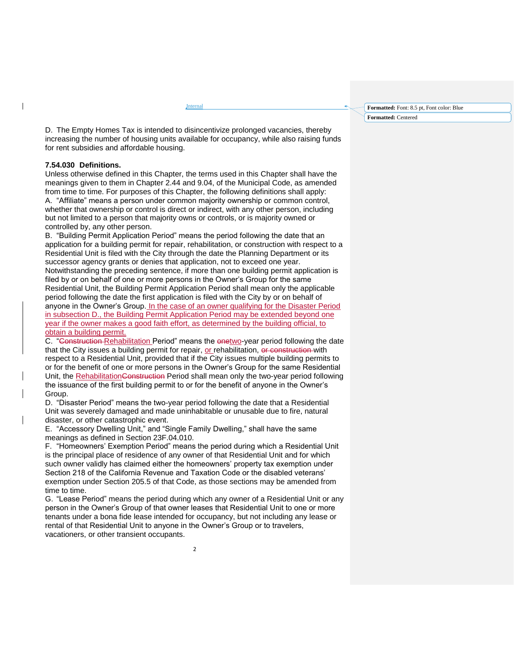**Formatted:** Centered

D. The Empty Homes Tax is intended to disincentivize prolonged vacancies, thereby increasing the number of housing units available for occupancy, while also raising funds for rent subsidies and affordable housing.

**Internal** 

#### **7.54.030 Definitions.**

Unless otherwise defined in this Chapter, the terms used in this Chapter shall have the meanings given to them in Chapter 2.44 and 9.04, of the Municipal Code, as amended from time to time. For purposes of this Chapter, the following definitions shall apply: A. "Affiliate" means a person under common majority ownership or common control, whether that ownership or control is direct or indirect, with any other person, including but not limited to a person that majority owns or controls, or is majority owned or controlled by, any other person.

B. "Building Permit Application Period" means the period following the date that an application for a building permit for repair, rehabilitation, or construction with respect to a Residential Unit is filed with the City through the date the Planning Department or its successor agency grants or denies that application, not to exceed one vear. Notwithstanding the preceding sentence, if more than one building permit application is filed by or on behalf of one or more persons in the Owner's Group for the same Residential Unit, the Building Permit Application Period shall mean only the applicable period following the date the first application is filed with the City by or on behalf of anyone in the Owner's Group. In the case of an owner qualifying for the Disaster Period in subsection D., the Building Permit Application Period may be extended beyond one year if the owner makes a good faith effort, as determined by the building official, to obtain a building permit.

C. "Construction Rehabilitation Period" means the onetwo-year period following the date that the City issues a building permit for repair, or rehabilitation, or construction with respect to a Residential Unit, provided that if the City issues multiple building permits to or for the benefit of one or more persons in the Owner's Group for the same Residential Unit, the Rehabilitation Construction Period shall mean only the two-year period following the issuance of the first building permit to or for the benefit of anyone in the Owner's Group.

D. "Disaster Period" means the two-year period following the date that a Residential Unit was severely damaged and made uninhabitable or unusable due to fire, natural disaster, or other catastrophic event.

E. "Accessory Dwelling Unit," and "Single Family Dwelling," shall have the same meanings as defined in Section 23F.04.010.

F. "Homeowners' Exemption Period" means the period during which a Residential Unit is the principal place of residence of any owner of that Residential Unit and for which such owner validly has claimed either the homeowners' property tax exemption under Section 218 of the California Revenue and Taxation Code or the disabled veterans' exemption under Section 205.5 of that Code, as those sections may be amended from time to time.

G. "Lease Period" means the period during which any owner of a Residential Unit or any person in the Owner's Group of that owner leases that Residential Unit to one or more tenants under a bona fide lease intended for occupancy, but not including any lease or rental of that Residential Unit to anyone in the Owner's Group or to travelers, vacationers, or other transient occupants.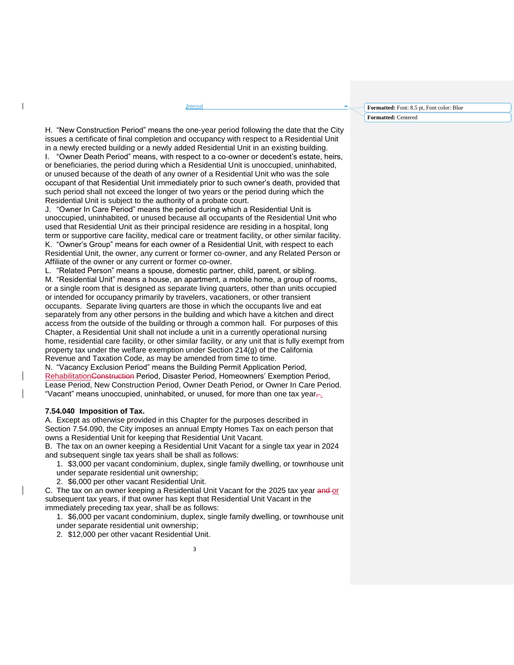H. "New Construction Period" means the one-year period following the date that the City issues a certificate of final completion and occupancy with respect to a Residential Unit in a newly erected building or a newly added Residential Unit in an existing building.<br>I. "Owner Death Period" means, with respect to a co-owner or decedent's estate, h

**Internal** 

"Owner Death Period" means, with respect to a co-owner or decedent's estate, heirs, or beneficiaries, the period during which a Residential Unit is unoccupied, uninhabited, or unused because of the death of any owner of a Residential Unit who was the sole occupant of that Residential Unit immediately prior to such owner's death, provided that such period shall not exceed the longer of two years or the period during which the Residential Unit is subject to the authority of a probate court.

J. "Owner In Care Period" means the period during which a Residential Unit is unoccupied, uninhabited, or unused because all occupants of the Residential Unit who used that Residential Unit as their principal residence are residing in a hospital, long term or supportive care facility, medical care or treatment facility, or other similar facility. K. "Owner's Group" means for each owner of a Residential Unit, with respect to each Residential Unit, the owner, any current or former co-owner, and any Related Person or Affiliate of the owner or any current or former co-owner.

L. "Related Person" means a spouse, domestic partner, child, parent, or sibling. M. "Residential Unit" means a house, an apartment, a mobile home, a group of rooms, or a single room that is designed as separate living quarters, other than units occupied or intended for occupancy primarily by travelers, vacationers, or other transient occupants. Separate living quarters are those in which the occupants live and eat separately from any other persons in the building and which have a kitchen and direct access from the outside of the building or through a common hall. For purposes of this Chapter, a Residential Unit shall not include a unit in a currently operational nursing home, residential care facility, or other similar facility, or any unit that is fully exempt from property tax under the welfare exemption under Section 214(g) of the California Revenue and Taxation Code, as may be amended from time to time.

N. "Vacancy Exclusion Period" means the Building Permit Application Period, RehabilitationConstruction Period, Disaster Period, Homeowners' Exemption Period, Lease Period, New Construction Period, Owner Death Period, or Owner In Care Period. "Vacant" means unoccupied, uninhabited, or unused, for more than one tax year $\pm$ .

#### **7.54.040 Imposition of Tax.**

A. Except as otherwise provided in this Chapter for the purposes described in Section 7.54.090, the City imposes an annual Empty Homes Tax on each person that owns a Residential Unit for keeping that Residential Unit Vacant.

B. The tax on an owner keeping a Residential Unit Vacant for a single tax year in 2024 and subsequent single tax years shall be shall as follows:

1. \$3,000 per vacant condominium, duplex, single family dwelling, or townhouse unit under separate residential unit ownership;

2. \$6,000 per other vacant Residential Unit.

C. The tax on an owner keeping a Residential Unit Vacant for the 2025 tax year and or subsequent tax years, if that owner has kept that Residential Unit Vacant in the immediately preceding tax year, shall be as follows:

1. \$6,000 per vacant condominium, duplex, single family dwelling, or townhouse unit under separate residential unit ownership;

2. \$12,000 per other vacant Residential Unit.

**Formatted:** Font: 8.5 pt, Font color: Blue

**Formatted:** Centered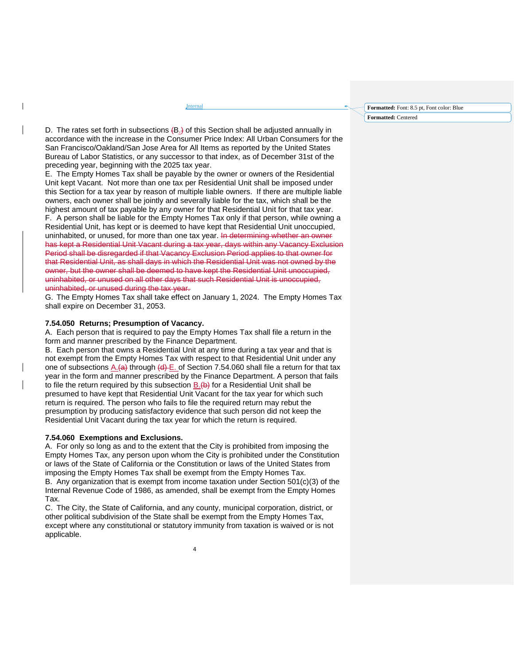**Formatted:** Centered

D. The rates set forth in subsections  $(B.)$  of this Section shall be adjusted annually in accordance with the increase in the Consumer Price Index: All Urban Consumers for the San Francisco/Oakland/San Jose Area for All Items as reported by the United States Bureau of Labor Statistics, or any successor to that index, as of December 31st of the preceding year, beginning with the 2025 tax year.

**Internal** 

E. The Empty Homes Tax shall be payable by the owner or owners of the Residential Unit kept Vacant. Not more than one tax per Residential Unit shall be imposed under this Section for a tax year by reason of multiple liable owners. If there are multiple liable owners, each owner shall be jointly and severally liable for the tax, which shall be the highest amount of tax payable by any owner for that Residential Unit for that tax year. F. A person shall be liable for the Empty Homes Tax only if that person, while owning a Residential Unit, has kept or is deemed to have kept that Residential Unit unoccupied, uninhabited, or unused, for more than one tax year. In determining whether an owner

has kept a Residential Unit Vacant during a tax year, days within any Vacancy Exclusion Period shall be disregarded if that Vacancy Exclusion Period applies to that owner for that Residential Unit, as shall days in which the Residential Unit was not owned by the owner, but the owner shall be deemed to have kept the Residential Unit unoccupied, uninhabited, or unused on all other days that such Residential Unit is unoccupied, uninhabited, or unused during the tax year.

G. The Empty Homes Tax shall take effect on January 1, 2024. The Empty Homes Tax shall expire on December 31, 2053.

#### **7.54.050 Returns; Presumption of Vacancy.**

I

A. Each person that is required to pay the Empty Homes Tax shall file a return in the form and manner prescribed by the Finance Department.

B. Each person that owns a Residential Unit at any time during a tax year and that is not exempt from the Empty Homes Tax with respect to that Residential Unit under any one of subsections  $\frac{A_1}{A_2}$  through  $\left(\frac{A_1}{B_1}, \frac{B_2}{B_2}\right)$  Section 7.54.060 shall file a return for that tax year in the form and manner prescribed by the Finance Department. A person that fails to file the return required by this subsection  $\underline{B.(b)}$  for a Residential Unit shall be presumed to have kept that Residential Unit Vacant for the tax year for which such return is required. The person who fails to file the required return may rebut the presumption by producing satisfactory evidence that such person did not keep the Residential Unit Vacant during the tax year for which the return is required.

#### **7.54.060 Exemptions and Exclusions.**

A. For only so long as and to the extent that the City is prohibited from imposing the Empty Homes Tax, any person upon whom the City is prohibited under the Constitution or laws of the State of California or the Constitution or laws of the United States from imposing the Empty Homes Tax shall be exempt from the Empty Homes Tax. B. Any organization that is exempt from income taxation under Section 501(c)(3) of the Internal Revenue Code of 1986, as amended, shall be exempt from the Empty Homes Tax.

C. The City, the State of California, and any county, municipal corporation, district, or other political subdivision of the State shall be exempt from the Empty Homes Tax, except where any constitutional or statutory immunity from taxation is waived or is not applicable.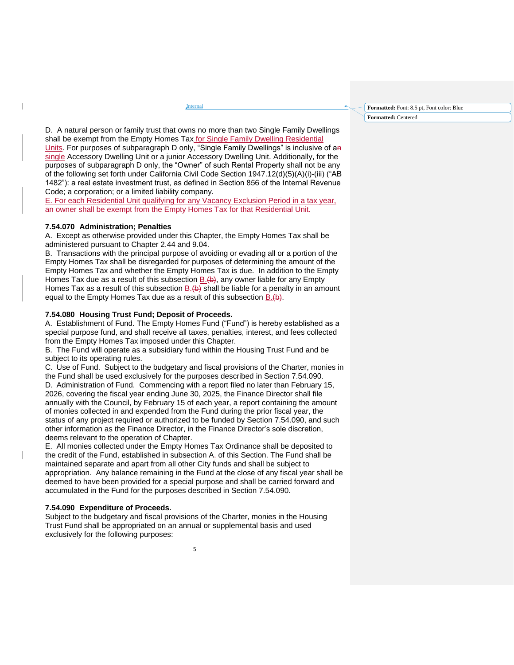**Formatted:** Centered

D. A natural person or family trust that owns no more than two Single Family Dwellings shall be exempt from the Empty Homes Tax for Single Family Dwelling Residential Units. For purposes of subparagraph D only, "Single Family Dwellings" is inclusive of an single Accessory Dwelling Unit or a junior Accessory Dwelling Unit. Additionally, for the purposes of subparagraph D only, the "Owner" of such Rental Property shall not be any of the following set forth under California Civil Code Section 1947.12(d)(5)(A)(i)-(iii) ("AB 1482"): a real estate investment trust, as defined in Section 856 of the Internal Revenue Code; a corporation; or a limited liability company.

**Internal** 

E. For each Residential Unit qualifying for any Vacancy Exclusion Period in a tax year, an owner shall be exempt from the Empty Homes Tax for that Residential Unit.

### **7.54.070 Administration; Penalties**

A. Except as otherwise provided under this Chapter, the Empty Homes Tax shall be administered pursuant to Chapter 2.44 and 9.04.

B. Transactions with the principal purpose of avoiding or evading all or a portion of the Empty Homes Tax shall be disregarded for purposes of determining the amount of the Empty Homes Tax and whether the Empty Homes Tax is due. In addition to the Empty Homes Tax due as a result of this subsection  $\underline{B.(b)}$ , any owner liable for any Empty Homes Tax as a result of this subsection  $\underline{B.(b)}$  shall be liable for a penalty in an amount equal to the Empty Homes Tax due as a result of this subsection B.(b).

#### **7.54.080 Housing Trust Fund; Deposit of Proceeds.**

A. Establishment of Fund. The Empty Homes Fund ("Fund") is hereby established as a special purpose fund, and shall receive all taxes, penalties, interest, and fees collected from the Empty Homes Tax imposed under this Chapter.

B. The Fund will operate as a subsidiary fund within the Housing Trust Fund and be subject to its operating rules.

C. Use of Fund. Subject to the budgetary and fiscal provisions of the Charter, monies in the Fund shall be used exclusively for the purposes described in Section 7.54.090. D. Administration of Fund. Commencing with a report filed no later than February 15, 2026, covering the fiscal year ending June 30, 2025, the Finance Director shall file annually with the Council, by February 15 of each year, a report containing the amount of monies collected in and expended from the Fund during the prior fiscal year, the status of any project required or authorized to be funded by Section 7.54.090, and such other information as the Finance Director, in the Finance Director's sole discretion, deems relevant to the operation of Chapter.

E. All monies collected under the Empty Homes Tax Ordinance shall be deposited to the credit of the Fund, established in subsection A<sub>2</sub> of this Section. The Fund shall be maintained separate and apart from all other City funds and shall be subject to appropriation. Any balance remaining in the Fund at the close of any fiscal year shall be deemed to have been provided for a special purpose and shall be carried forward and accumulated in the Fund for the purposes described in Section 7.54.090.

#### **7.54.090 Expenditure of Proceeds.**

Subject to the budgetary and fiscal provisions of the Charter, monies in the Housing Trust Fund shall be appropriated on an annual or supplemental basis and used exclusively for the following purposes: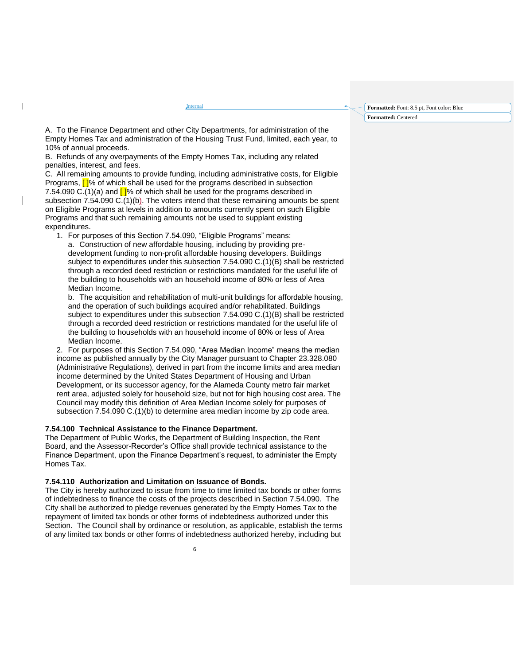**Formatted:** Centered

A. To the Finance Department and other City Departments, for administration of the Empty Homes Tax and administration of the Housing Trust Fund, limited, each year, to 10% of annual proceeds.

**Internal** 

B. Refunds of any overpayments of the Empty Homes Tax, including any related penalties, interest, and fees.

 $\overline{\phantom{a}}$ 

C. All remaining amounts to provide funding, including administrative costs, for Eligible Programs,  $\frac{1}{8}$  of which shall be used for the programs described in subsection 7.54.090 C.(1)(a) and  $\overline{1}$ % of which shall be used for the programs described in subsection 7.54.090 C.(1)(b). The voters intend that these remaining amounts be spent on Eligible Programs at levels in addition to amounts currently spent on such Eligible Programs and that such remaining amounts not be used to supplant existing expenditures.

1. For purposes of this Section 7.54.090, "Eligible Programs" means: a. Construction of new affordable housing, including by providing predevelopment funding to non-profit affordable housing developers. Buildings subject to expenditures under this subsection 7.54.090 C.(1)(B) shall be restricted through a recorded deed restriction or restrictions mandated for the useful life of the building to households with an household income of 80% or less of Area Median Income.

b. The acquisition and rehabilitation of multi-unit buildings for affordable housing, and the operation of such buildings acquired and/or rehabilitated. Buildings subject to expenditures under this subsection 7.54.090 C.(1)(B) shall be restricted through a recorded deed restriction or restrictions mandated for the useful life of the building to households with an household income of 80% or less of Area Median Income.

2. For purposes of this Section 7.54.090, "Area Median Income" means the median income as published annually by the City Manager pursuant to Chapter 23.328.080 (Administrative Regulations), derived in part from the income limits and area median income determined by the United States Department of Housing and Urban Development, or its successor agency, for the Alameda County metro fair market rent area, adjusted solely for household size, but not for high housing cost area. The Council may modify this definition of Area Median Income solely for purposes of subsection 7.54.090 C.(1)(b) to determine area median income by zip code area.

#### **7.54.100 Technical Assistance to the Finance Department.**

The Department of Public Works, the Department of Building Inspection, the Rent Board, and the Assessor-Recorder's Office shall provide technical assistance to the Finance Department, upon the Finance Department's request, to administer the Empty Homes Tax.

#### **7.54.110 Authorization and Limitation on Issuance of Bonds.**

The City is hereby authorized to issue from time to time limited tax bonds or other forms of indebtedness to finance the costs of the projects described in Section 7.54.090. The City shall be authorized to pledge revenues generated by the Empty Homes Tax to the repayment of limited tax bonds or other forms of indebtedness authorized under this Section. The Council shall by ordinance or resolution, as applicable, establish the terms of any limited tax bonds or other forms of indebtedness authorized hereby, including but